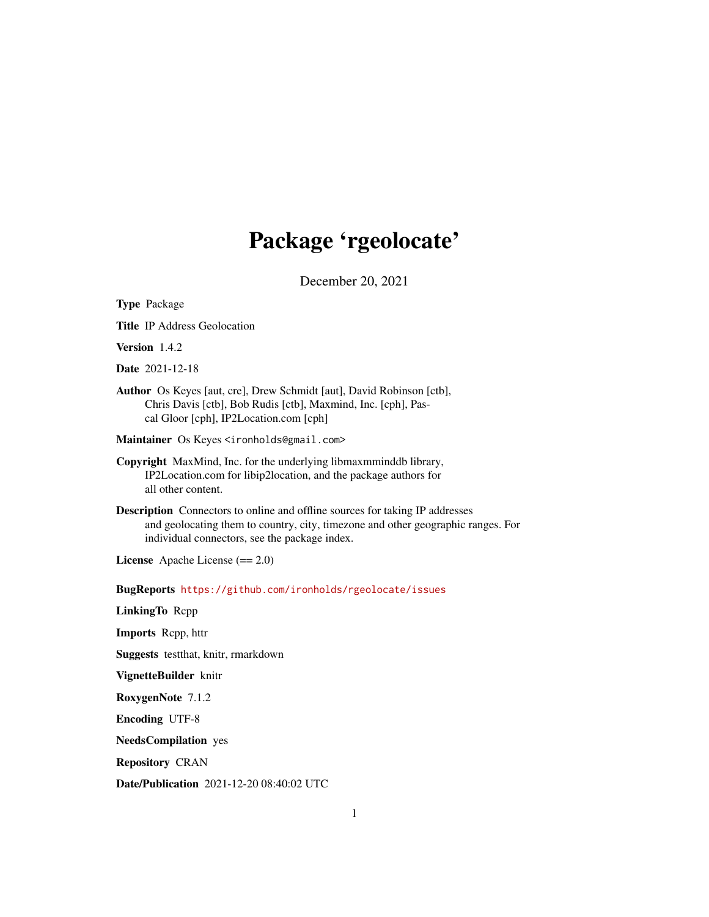## Package 'rgeolocate'

December 20, 2021

| <b>Type Package</b>                                                                                                                                                                                                      |
|--------------------------------------------------------------------------------------------------------------------------------------------------------------------------------------------------------------------------|
| <b>Title IP Address Geolocation</b>                                                                                                                                                                                      |
| Version 1.4.2                                                                                                                                                                                                            |
| <b>Date</b> 2021-12-18                                                                                                                                                                                                   |
| Author Os Keyes [aut, cre], Drew Schmidt [aut], David Robinson [ctb],<br>Chris Davis [ctb], Bob Rudis [ctb], Maxmind, Inc. [cph], Pas-<br>cal Gloor [cph], IP2Location.com [cph]                                         |
| Maintainer Os Keyes <ironholds@gmail.com></ironholds@gmail.com>                                                                                                                                                          |
| Copyright MaxMind, Inc. for the underlying libmaxmminddb library,<br>IP2Location.com for libip2location, and the package authors for<br>all other content.                                                               |
| <b>Description</b> Connectors to online and offline sources for taking IP addresses<br>and geolocating them to country, city, timezone and other geographic ranges. For<br>individual connectors, see the package index. |
| License Apache License $(== 2.0)$                                                                                                                                                                                        |
| BugReports https://github.com/ironholds/rgeolocate/issues                                                                                                                                                                |
| LinkingTo Repp                                                                                                                                                                                                           |
| <b>Imports</b> Repp, httr                                                                                                                                                                                                |
| Suggests testthat, knitr, rmarkdown                                                                                                                                                                                      |
| VignetteBuilder knitr                                                                                                                                                                                                    |
| RoxygenNote 7.1.2                                                                                                                                                                                                        |
| <b>Encoding UTF-8</b>                                                                                                                                                                                                    |
| <b>NeedsCompilation</b> yes                                                                                                                                                                                              |
| <b>Repository CRAN</b>                                                                                                                                                                                                   |
| Date/Publication 2021-12-20 08:40:02 UTC                                                                                                                                                                                 |
|                                                                                                                                                                                                                          |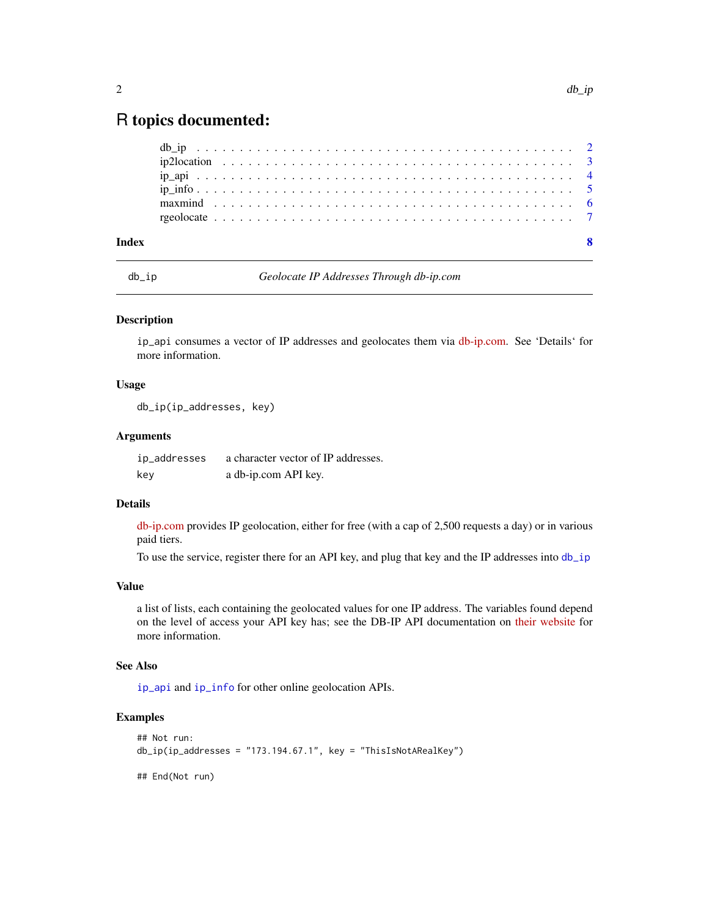### <span id="page-1-0"></span>R topics documented:

| Index |  |  |  |  |  |  |  |  |  |  |  |  |  |  |  |  |  |  |  |  |
|-------|--|--|--|--|--|--|--|--|--|--|--|--|--|--|--|--|--|--|--|--|
|       |  |  |  |  |  |  |  |  |  |  |  |  |  |  |  |  |  |  |  |  |
|       |  |  |  |  |  |  |  |  |  |  |  |  |  |  |  |  |  |  |  |  |
|       |  |  |  |  |  |  |  |  |  |  |  |  |  |  |  |  |  |  |  |  |
|       |  |  |  |  |  |  |  |  |  |  |  |  |  |  |  |  |  |  |  |  |
|       |  |  |  |  |  |  |  |  |  |  |  |  |  |  |  |  |  |  |  |  |
|       |  |  |  |  |  |  |  |  |  |  |  |  |  |  |  |  |  |  |  |  |

<span id="page-1-1"></span>

db\_ip *Geolocate IP Addresses Through db-ip.com*

#### Description

ip\_api consumes a vector of IP addresses and geolocates them via [db-ip.com.](https://db-ip.com/) See 'Details' for more information.

#### Usage

db\_ip(ip\_addresses, key)

#### Arguments

ip\_addresses a character vector of IP addresses. key a db-ip.com API key.

#### Details

[db-ip.com](https://db-ip.com/) provides IP geolocation, either for free (with a cap of 2,500 requests a day) or in various paid tiers.

To use the service, register there for an API key, and plug that key and the IP addresses into [db\\_ip](#page-1-1)

#### Value

a list of lists, each containing the geolocated values for one IP address. The variables found depend on the level of access your API key has; see the DB-IP API documentation on [their website](https://db-ip.com) for more information.

#### See Also

[ip\\_api](#page-3-1) and [ip\\_info](#page-4-1) for other online geolocation APIs.

#### Examples

```
## Not run:
db\_ip(ip\_addresses = "173.194.67.1", key = "ThisIsNotARealKey")## End(Not run)
```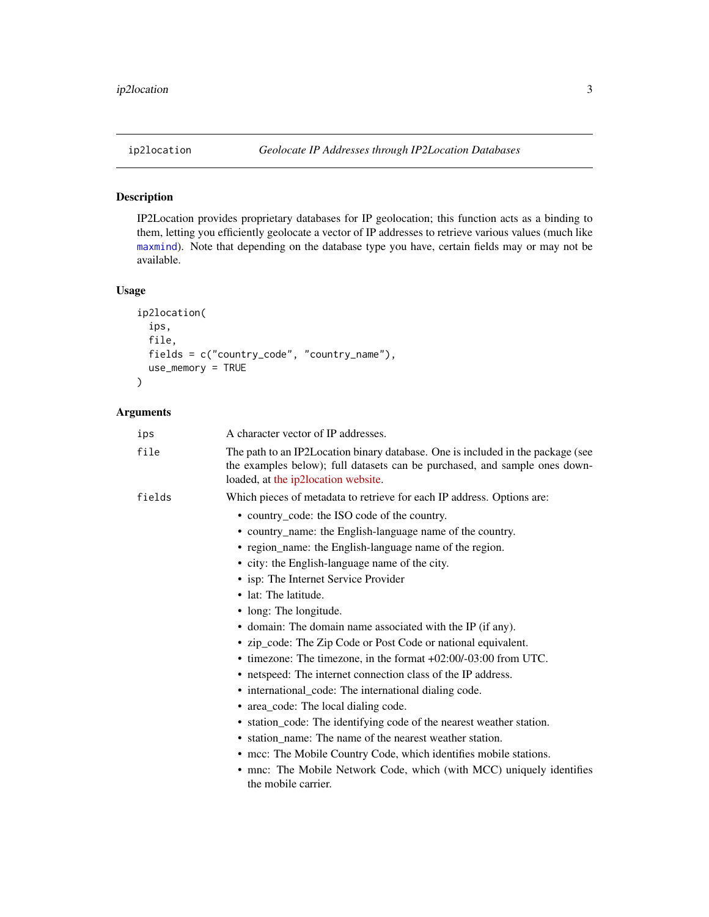#### <span id="page-2-0"></span>Description

IP2Location provides proprietary databases for IP geolocation; this function acts as a binding to them, letting you efficiently geolocate a vector of IP addresses to retrieve various values (much like [maxmind](#page-5-1)). Note that depending on the database type you have, certain fields may or may not be available.

#### Usage

```
ip2location(
 ips,
  file,
 fields = c("country_code", "country_name"),
 use_memory = TRUE
)
```
#### Arguments

| ips    | A character vector of IP addresses.                                                                                                                                                                  |
|--------|------------------------------------------------------------------------------------------------------------------------------------------------------------------------------------------------------|
| file   | The path to an IP2Location binary database. One is included in the package (see<br>the examples below); full datasets can be purchased, and sample ones down-<br>loaded, at the ip2location website. |
| fields | Which pieces of metadata to retrieve for each IP address. Options are:                                                                                                                               |
|        | • country_code: the ISO code of the country.                                                                                                                                                         |
|        | • country_name: the English-language name of the country.                                                                                                                                            |
|        | • region_name: the English-language name of the region.                                                                                                                                              |
|        | • city: the English-language name of the city.                                                                                                                                                       |
|        | • isp: The Internet Service Provider                                                                                                                                                                 |
|        | • lat: The latitude.                                                                                                                                                                                 |
|        | • long: The longitude.                                                                                                                                                                               |
|        | • domain: The domain name associated with the IP (if any).                                                                                                                                           |
|        | • zip_code: The Zip Code or Post Code or national equivalent.                                                                                                                                        |
|        | $\bullet$ timezone: The timezone, in the format $+02:00/-03:00$ from UTC.                                                                                                                            |
|        | • netspeed: The internet connection class of the IP address.                                                                                                                                         |
|        | • international_code: The international dialing code.                                                                                                                                                |
|        | • area_code: The local dialing code.                                                                                                                                                                 |
|        | • station_code: The identifying code of the nearest weather station.                                                                                                                                 |
|        | • station name: The name of the nearest weather station.                                                                                                                                             |
|        | • mcc: The Mobile Country Code, which identifies mobile stations.                                                                                                                                    |
|        | • mnc: The Mobile Network Code, which (with MCC) uniquely identifies<br>the mobile carrier.                                                                                                          |
|        |                                                                                                                                                                                                      |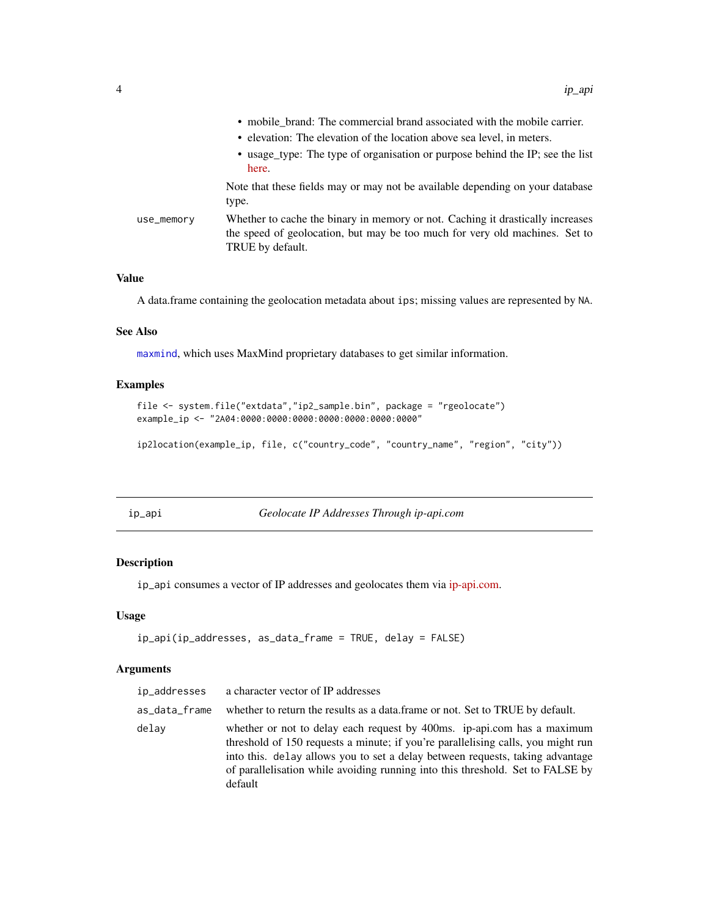<span id="page-3-0"></span>

|            | • mobile_brand: The commercial brand associated with the mobile carrier.                                                                                                          |
|------------|-----------------------------------------------------------------------------------------------------------------------------------------------------------------------------------|
|            | • elevation: The elevation of the location above sea level, in meters.                                                                                                            |
|            | • usage_type: The type of organisation or purpose behind the IP; see the list<br>here.                                                                                            |
|            | Note that these fields may or may not be available depending on your database<br>type.                                                                                            |
| use_memory | Whether to cache the binary in memory or not. Caching it drastically increases<br>the speed of geolocation, but may be too much for very old machines. Set to<br>TRUE by default. |

#### Value

A data.frame containing the geolocation metadata about ips; missing values are represented by NA.

#### See Also

[maxmind](#page-5-1), which uses MaxMind proprietary databases to get similar information.

#### Examples

```
file <- system.file("extdata","ip2_sample.bin", package = "rgeolocate")
example_ip <- "2A04:0000:0000:0000:0000:0000:0000:0000"
```
ip2location(example\_ip, file, c("country\_code", "country\_name", "region", "city"))

<span id="page-3-1"></span>

ip\_api *Geolocate IP Addresses Through ip-api.com*

#### Description

ip\_api consumes a vector of IP addresses and geolocates them via [ip-api.com.](https://ip-api.com)

#### Usage

```
ip_api(ip_addresses, as_data_frame = TRUE, delay = FALSE)
```
#### Arguments

| ip_addresses  | a character vector of IP addresses                                                                                                                                                                                                                                                                                                        |
|---------------|-------------------------------------------------------------------------------------------------------------------------------------------------------------------------------------------------------------------------------------------------------------------------------------------------------------------------------------------|
| as data frame | whether to return the results as a data.frame or not. Set to TRUE by default.                                                                                                                                                                                                                                                             |
| delav         | whether or not to delay each request by 400ms. ip-api.com has a maximum<br>threshold of 150 requests a minute; if you're parallelising calls, you might run<br>into this, delay allows you to set a delay between requests, taking advantage<br>of parallelisation while avoiding running into this threshold. Set to FALSE by<br>default |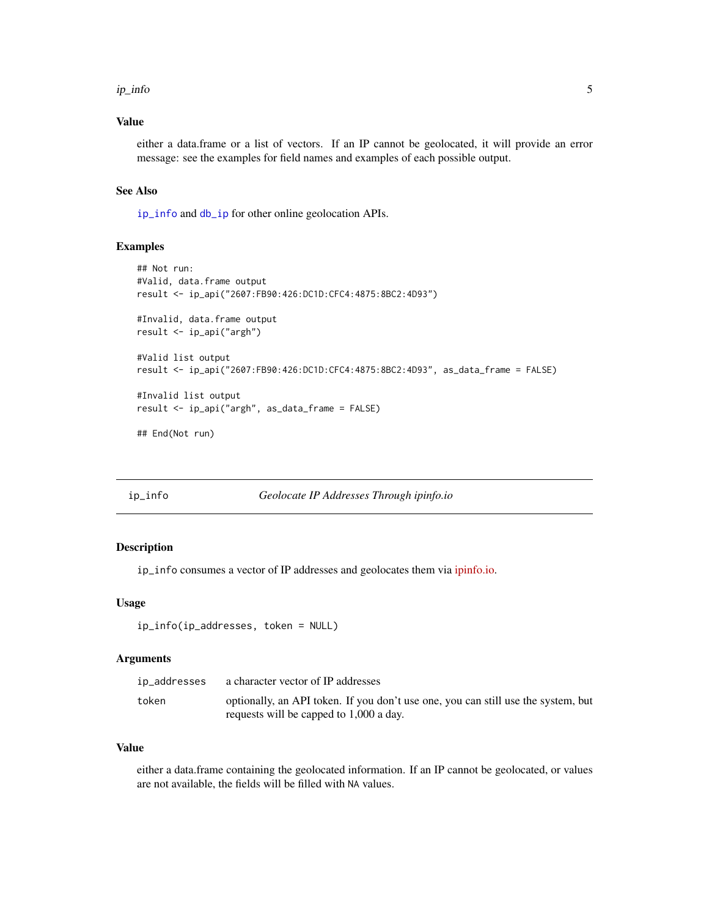#### <span id="page-4-0"></span>ip\_info 5

#### Value

either a data.frame or a list of vectors. If an IP cannot be geolocated, it will provide an error message: see the examples for field names and examples of each possible output.

#### See Also

[ip\\_info](#page-4-1) and [db\\_ip](#page-1-1) for other online geolocation APIs.

#### Examples

```
## Not run:
#Valid, data.frame output
result <- ip_api("2607:FB90:426:DC1D:CFC4:4875:8BC2:4D93")
#Invalid, data.frame output
result <- ip_api("argh")
#Valid list output
result <- ip_api("2607:FB90:426:DC1D:CFC4:4875:8BC2:4D93", as_data_frame = FALSE)
#Invalid list output
result <- ip_api("argh", as_data_frame = FALSE)
## End(Not run)
```
<span id="page-4-1"></span>ip\_info *Geolocate IP Addresses Through ipinfo.io*

#### Description

ip\_info consumes a vector of IP addresses and geolocates them via [ipinfo.io.](https://ipinfo.io)

#### Usage

```
ip_info(ip_addresses, token = NULL)
```
#### Arguments

| ip_addresses | a character vector of IP addresses                                                |
|--------------|-----------------------------------------------------------------------------------|
| token        | optionally, an API token. If you don't use one, you can still use the system, but |
|              | requests will be capped to 1,000 a day.                                           |

#### Value

either a data.frame containing the geolocated information. If an IP cannot be geolocated, or values are not available, the fields will be filled with NA values.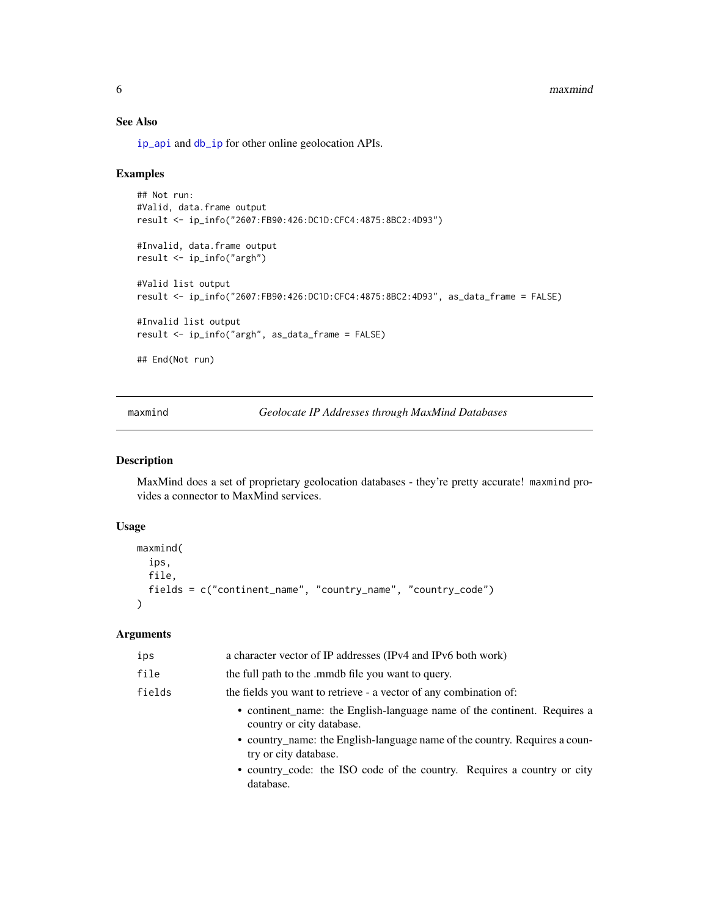#### <span id="page-5-0"></span>6 maxmind

### See Also

[ip\\_api](#page-3-1) and [db\\_ip](#page-1-1) for other online geolocation APIs.

#### Examples

```
## Not run:
#Valid, data.frame output
result <- ip_info("2607:FB90:426:DC1D:CFC4:4875:8BC2:4D93")
#Invalid, data.frame output
result <- ip_info("argh")
#Valid list output
result <- ip_info("2607:FB90:426:DC1D:CFC4:4875:8BC2:4D93", as_data_frame = FALSE)
#Invalid list output
result <- ip_info("argh", as_data_frame = FALSE)
## End(Not run)
```
<span id="page-5-1"></span>maxmind *Geolocate IP Addresses through MaxMind Databases*

#### Description

MaxMind does a set of proprietary geolocation databases - they're pretty accurate! maxmind provides a connector to MaxMind services.

#### Usage

```
maxmind(
  ips,
  file,
  fields = c("continent_name", "country_name", "country_code")
\lambda
```
#### Arguments

| ips    | a character vector of IP addresses (IPv4 and IPv6 both work)                                                                                                                                                 |
|--------|--------------------------------------------------------------------------------------------------------------------------------------------------------------------------------------------------------------|
| file   | the full path to the mmdb file you want to query.                                                                                                                                                            |
| fields | the fields you want to retrieve - a vector of any combination of:                                                                                                                                            |
|        | • continent_name: the English-language name of the continent. Requires a<br>country or city database.<br>• country_name: the English-language name of the country. Requires a coun-<br>try or city database. |
|        | • country_code: the ISO code of the country. Requires a country or city<br>database.                                                                                                                         |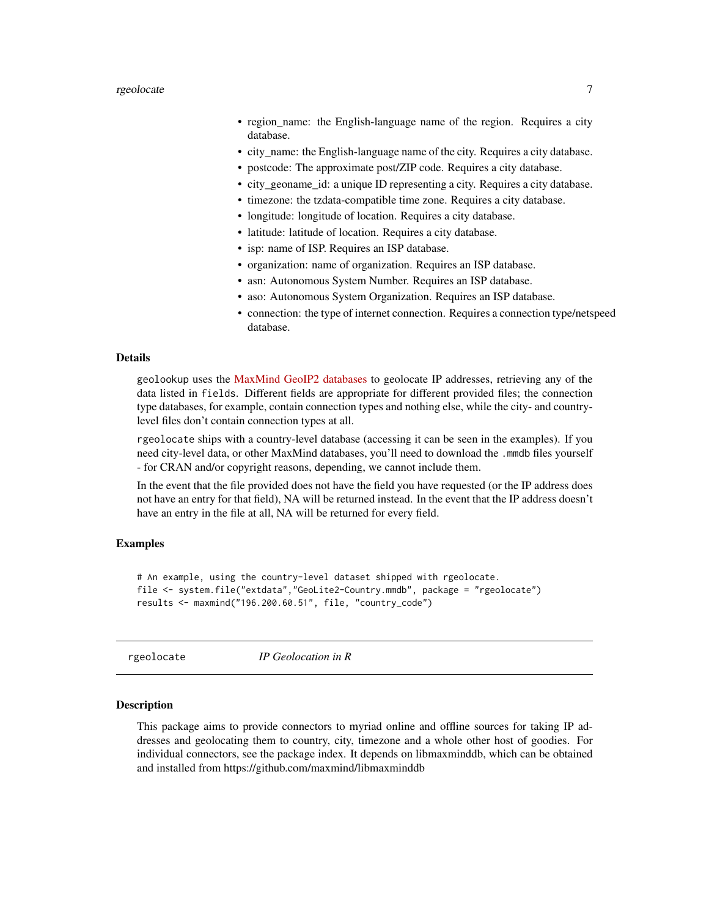- <span id="page-6-0"></span>• region\_name: the English-language name of the region. Requires a city database.
- city\_name: the English-language name of the city. Requires a city database.
- postcode: The approximate post/ZIP code. Requires a city database.
- city\_geoname\_id: a unique ID representing a city. Requires a city database.
- timezone: the tzdata-compatible time zone. Requires a city database.
- longitude: longitude of location. Requires a city database.
- latitude: latitude of location. Requires a city database.
- isp: name of ISP. Requires an ISP database.
- organization: name of organization. Requires an ISP database.
- asn: Autonomous System Number. Requires an ISP database.
- aso: Autonomous System Organization. Requires an ISP database.
- connection: the type of internet connection. Requires a connection type/netspeed database.

#### Details

geolookup uses the [MaxMind GeoIP2 databases](https://dev.maxmind.com/geoip/geoip2/downloadable/) to geolocate IP addresses, retrieving any of the data listed in fields. Different fields are appropriate for different provided files; the connection type databases, for example, contain connection types and nothing else, while the city- and countrylevel files don't contain connection types at all.

rgeolocate ships with a country-level database (accessing it can be seen in the examples). If you need city-level data, or other MaxMind databases, you'll need to download the .mmdb files yourself - for CRAN and/or copyright reasons, depending, we cannot include them.

In the event that the file provided does not have the field you have requested (or the IP address does not have an entry for that field), NA will be returned instead. In the event that the IP address doesn't have an entry in the file at all, NA will be returned for every field.

#### Examples

# An example, using the country-level dataset shipped with rgeolocate. file <- system.file("extdata","GeoLite2-Country.mmdb", package = "rgeolocate") results <- maxmind("196.200.60.51", file, "country\_code")

rgeolocate *IP Geolocation in R*

#### Description

This package aims to provide connectors to myriad online and offline sources for taking IP addresses and geolocating them to country, city, timezone and a whole other host of goodies. For individual connectors, see the package index. It depends on libmaxminddb, which can be obtained and installed from https://github.com/maxmind/libmaxminddb